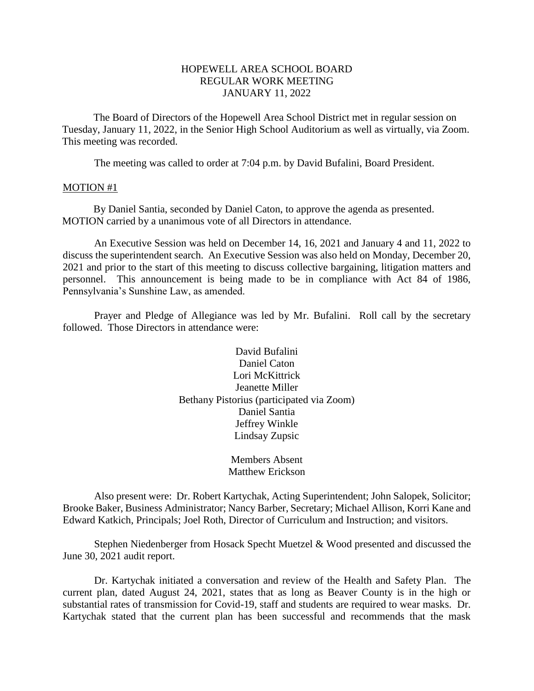### HOPEWELL AREA SCHOOL BOARD REGULAR WORK MEETING JANUARY 11, 2022

The Board of Directors of the Hopewell Area School District met in regular session on Tuesday, January 11, 2022, in the Senior High School Auditorium as well as virtually, via Zoom. This meeting was recorded.

The meeting was called to order at 7:04 p.m. by David Bufalini, Board President.

#### MOTION #1

By Daniel Santia, seconded by Daniel Caton, to approve the agenda as presented. MOTION carried by a unanimous vote of all Directors in attendance.

An Executive Session was held on December 14, 16, 2021 and January 4 and 11, 2022 to discuss the superintendent search. An Executive Session was also held on Monday, December 20, 2021 and prior to the start of this meeting to discuss collective bargaining, litigation matters and personnel. This announcement is being made to be in compliance with Act 84 of 1986, Pennsylvania's Sunshine Law, as amended.

Prayer and Pledge of Allegiance was led by Mr. Bufalini. Roll call by the secretary followed. Those Directors in attendance were:

> David Bufalini Daniel Caton Lori McKittrick Jeanette Miller Bethany Pistorius (participated via Zoom) Daniel Santia Jeffrey Winkle Lindsay Zupsic

> > Members Absent Matthew Erickson

Also present were: Dr. Robert Kartychak, Acting Superintendent; John Salopek, Solicitor; Brooke Baker, Business Administrator; Nancy Barber, Secretary; Michael Allison, Korri Kane and Edward Katkich, Principals; Joel Roth, Director of Curriculum and Instruction; and visitors.

Stephen Niedenberger from Hosack Specht Muetzel & Wood presented and discussed the June 30, 2021 audit report.

Dr. Kartychak initiated a conversation and review of the Health and Safety Plan. The current plan, dated August 24, 2021, states that as long as Beaver County is in the high or substantial rates of transmission for Covid-19, staff and students are required to wear masks. Dr. Kartychak stated that the current plan has been successful and recommends that the mask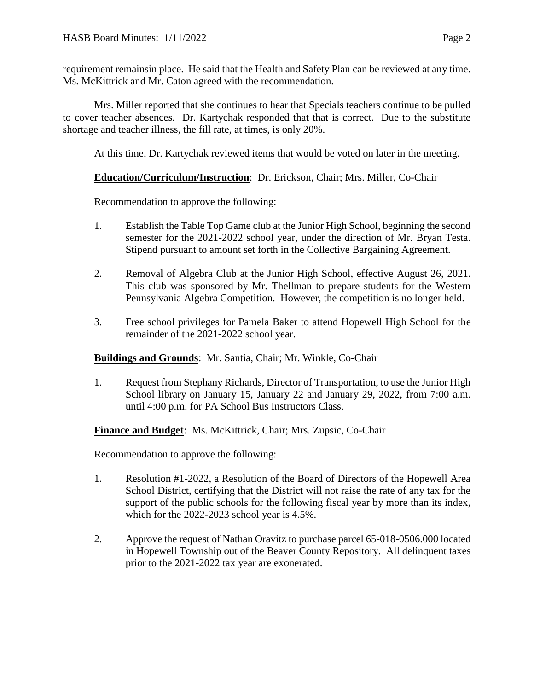Mrs. Miller reported that she continues to hear that Specials teachers continue to be pulled to cover teacher absences. Dr. Kartychak responded that that is correct. Due to the substitute shortage and teacher illness, the fill rate, at times, is only 20%.

At this time, Dr. Kartychak reviewed items that would be voted on later in the meeting.

# **Education/Curriculum/Instruction**: Dr. Erickson, Chair; Mrs. Miller, Co-Chair

Recommendation to approve the following:

- 1. Establish the Table Top Game club at the Junior High School, beginning the second semester for the 2021-2022 school year, under the direction of Mr. Bryan Testa. Stipend pursuant to amount set forth in the Collective Bargaining Agreement.
- 2. Removal of Algebra Club at the Junior High School, effective August 26, 2021. This club was sponsored by Mr. Thellman to prepare students for the Western Pennsylvania Algebra Competition. However, the competition is no longer held.
- 3. Free school privileges for Pamela Baker to attend Hopewell High School for the remainder of the 2021-2022 school year.

## **Buildings and Grounds**: Mr. Santia, Chair; Mr. Winkle, Co-Chair

1. Request from Stephany Richards, Director of Transportation, to use the Junior High School library on January 15, January 22 and January 29, 2022, from 7:00 a.m. until 4:00 p.m. for PA School Bus Instructors Class.

**Finance and Budget**: Ms. McKittrick, Chair; Mrs. Zupsic, Co-Chair

Recommendation to approve the following:

- 1. Resolution #1-2022, a Resolution of the Board of Directors of the Hopewell Area School District, certifying that the District will not raise the rate of any tax for the support of the public schools for the following fiscal year by more than its index, which for the 2022-2023 school year is 4.5%.
- 2. Approve the request of Nathan Oravitz to purchase parcel 65-018-0506.000 located in Hopewell Township out of the Beaver County Repository. All delinquent taxes prior to the 2021-2022 tax year are exonerated.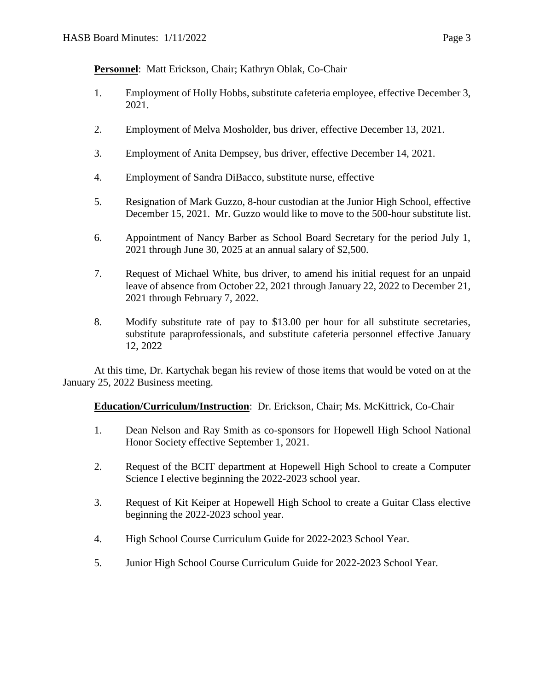**Personnel**: Matt Erickson, Chair; Kathryn Oblak, Co-Chair

- 1. Employment of Holly Hobbs, substitute cafeteria employee, effective December 3, 2021.
- 2. Employment of Melva Mosholder, bus driver, effective December 13, 2021.
- 3. Employment of Anita Dempsey, bus driver, effective December 14, 2021.
- 4. Employment of Sandra DiBacco, substitute nurse, effective
- 5. Resignation of Mark Guzzo, 8-hour custodian at the Junior High School, effective December 15, 2021. Mr. Guzzo would like to move to the 500-hour substitute list.
- 6. Appointment of Nancy Barber as School Board Secretary for the period July 1, 2021 through June 30, 2025 at an annual salary of \$2,500.
- 7. Request of Michael White, bus driver, to amend his initial request for an unpaid leave of absence from October 22, 2021 through January 22, 2022 to December 21, 2021 through February 7, 2022.
- 8. Modify substitute rate of pay to \$13.00 per hour for all substitute secretaries, substitute paraprofessionals, and substitute cafeteria personnel effective January 12, 2022

At this time, Dr. Kartychak began his review of those items that would be voted on at the January 25, 2022 Business meeting.

# **Education/Curriculum/Instruction**: Dr. Erickson, Chair; Ms. McKittrick, Co-Chair

- 1. Dean Nelson and Ray Smith as co-sponsors for Hopewell High School National Honor Society effective September 1, 2021.
- 2. Request of the BCIT department at Hopewell High School to create a Computer Science I elective beginning the 2022-2023 school year.
- 3. Request of Kit Keiper at Hopewell High School to create a Guitar Class elective beginning the 2022-2023 school year.
- 4. High School Course Curriculum Guide for 2022-2023 School Year.
- 5. Junior High School Course Curriculum Guide for 2022-2023 School Year.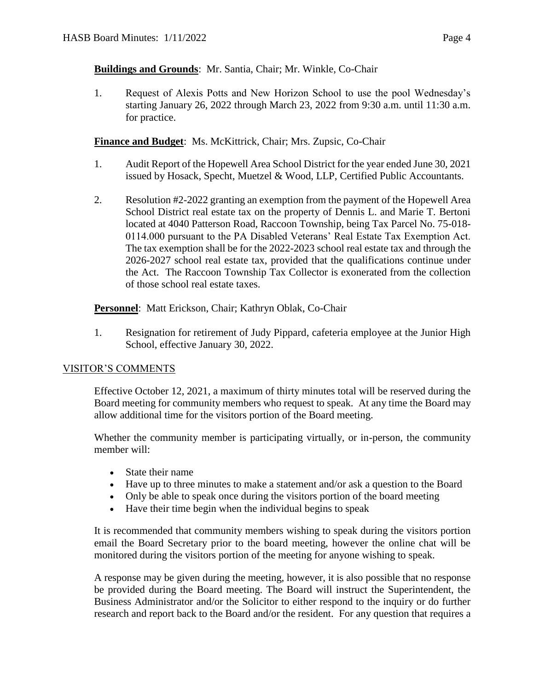# **Buildings and Grounds**: Mr. Santia, Chair; Mr. Winkle, Co-Chair

1. Request of Alexis Potts and New Horizon School to use the pool Wednesday's starting January 26, 2022 through March 23, 2022 from 9:30 a.m. until 11:30 a.m. for practice.

# **Finance and Budget**: Ms. McKittrick, Chair; Mrs. Zupsic, Co-Chair

- 1. Audit Report of the Hopewell Area School District for the year ended June 30, 2021 issued by Hosack, Specht, Muetzel & Wood, LLP, Certified Public Accountants.
- 2. Resolution #2-2022 granting an exemption from the payment of the Hopewell Area School District real estate tax on the property of Dennis L. and Marie T. Bertoni located at 4040 Patterson Road, Raccoon Township, being Tax Parcel No. 75-018- 0114.000 pursuant to the PA Disabled Veterans' Real Estate Tax Exemption Act. The tax exemption shall be for the 2022-2023 school real estate tax and through the 2026-2027 school real estate tax, provided that the qualifications continue under the Act. The Raccoon Township Tax Collector is exonerated from the collection of those school real estate taxes.

**Personnel**: Matt Erickson, Chair; Kathryn Oblak, Co-Chair

1. Resignation for retirement of Judy Pippard, cafeteria employee at the Junior High School, effective January 30, 2022.

## VISITOR'S COMMENTS

Effective October 12, 2021, a maximum of thirty minutes total will be reserved during the Board meeting for community members who request to speak. At any time the Board may allow additional time for the visitors portion of the Board meeting.

Whether the community member is participating virtually, or in-person, the community member will:

- State their name
- Have up to three minutes to make a statement and/or ask a question to the Board
- Only be able to speak once during the visitors portion of the board meeting
- Have their time begin when the individual begins to speak

It is recommended that community members wishing to speak during the visitors portion email the Board Secretary prior to the board meeting, however the online chat will be monitored during the visitors portion of the meeting for anyone wishing to speak.

A response may be given during the meeting, however, it is also possible that no response be provided during the Board meeting. The Board will instruct the Superintendent, the Business Administrator and/or the Solicitor to either respond to the inquiry or do further research and report back to the Board and/or the resident. For any question that requires a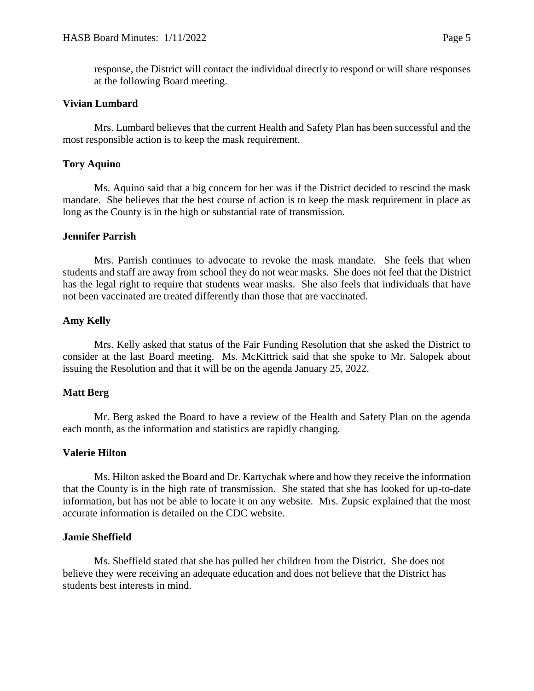response, the District will contact the individual directly to respond or will share responses at the following Board meeting.

### **Vivian Lumbard**

Mrs. Lumbard believes that the current Health and Safety Plan has been successful and the most responsible action is to keep the mask requirement.

### **Tory Aquino**

Ms. Aquino said that a big concern for her was if the District decided to rescind the mask mandate. She believes that the best course of action is to keep the mask requirement in place as long as the County is in the high or substantial rate of transmission.

### **Jennifer Parrish**

Mrs. Parrish continues to advocate to revoke the mask mandate. She feels that when students and staff are away from school they do not wear masks. She does not feel that the District has the legal right to require that students wear masks. She also feels that individuals that have not been vaccinated are treated differently than those that are vaccinated.

### **Amy Kelly**

Mrs. Kelly asked that status of the Fair Funding Resolution that she asked the District to consider at the last Board meeting. Ms. McKittrick said that she spoke to Mr. Salopek about issuing the Resolution and that it will be on the agenda January 25, 2022.

### **Matt Berg**

Mr. Berg asked the Board to have a review of the Health and Safety Plan on the agenda each month, as the information and statistics are rapidly changing.

## **Valerie Hilton**

Ms. Hilton asked the Board and Dr. Kartychak where and how they receive the information that the County is in the high rate of transmission. She stated that she has looked for up-to-date information, but has not be able to locate it on any website. Mrs. Zupsic explained that the most accurate information is detailed on the CDC website.

### **Jamie Sheffield**

Ms. Sheffield stated that she has pulled her children from the District. She does not believe they were receiving an adequate education and does not believe that the District has students best interests in mind.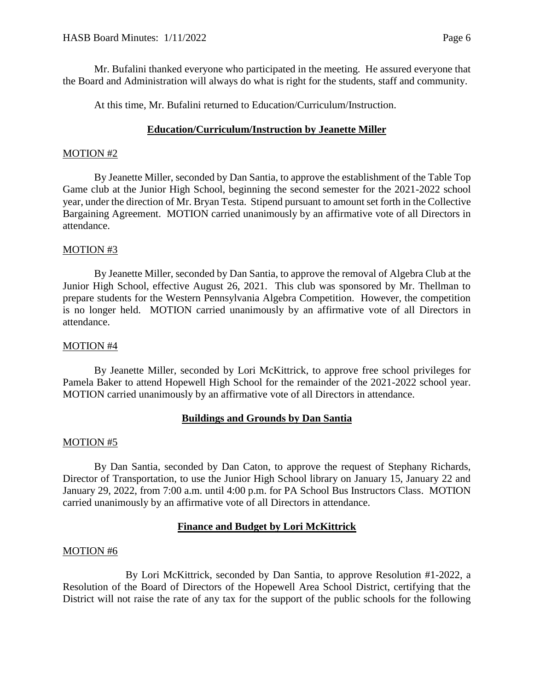Mr. Bufalini thanked everyone who participated in the meeting. He assured everyone that the Board and Administration will always do what is right for the students, staff and community.

At this time, Mr. Bufalini returned to Education/Curriculum/Instruction.

# **Education/Curriculum/Instruction by Jeanette Miller**

## MOTION #2

By Jeanette Miller, seconded by Dan Santia, to approve the establishment of the Table Top Game club at the Junior High School, beginning the second semester for the 2021-2022 school year, under the direction of Mr. Bryan Testa. Stipend pursuant to amount set forth in the Collective Bargaining Agreement. MOTION carried unanimously by an affirmative vote of all Directors in attendance.

## MOTION #3

By Jeanette Miller, seconded by Dan Santia, to approve the removal of Algebra Club at the Junior High School, effective August 26, 2021. This club was sponsored by Mr. Thellman to prepare students for the Western Pennsylvania Algebra Competition. However, the competition is no longer held. MOTION carried unanimously by an affirmative vote of all Directors in attendance.

### MOTION #4

By Jeanette Miller, seconded by Lori McKittrick, to approve free school privileges for Pamela Baker to attend Hopewell High School for the remainder of the 2021-2022 school year. MOTION carried unanimously by an affirmative vote of all Directors in attendance.

## **Buildings and Grounds by Dan Santia**

### MOTION #5

By Dan Santia, seconded by Dan Caton, to approve the request of Stephany Richards, Director of Transportation, to use the Junior High School library on January 15, January 22 and January 29, 2022, from 7:00 a.m. until 4:00 p.m. for PA School Bus Instructors Class. MOTION carried unanimously by an affirmative vote of all Directors in attendance.

## **Finance and Budget by Lori McKittrick**

### MOTION #6

By Lori McKittrick, seconded by Dan Santia, to approve Resolution #1-2022, a Resolution of the Board of Directors of the Hopewell Area School District, certifying that the District will not raise the rate of any tax for the support of the public schools for the following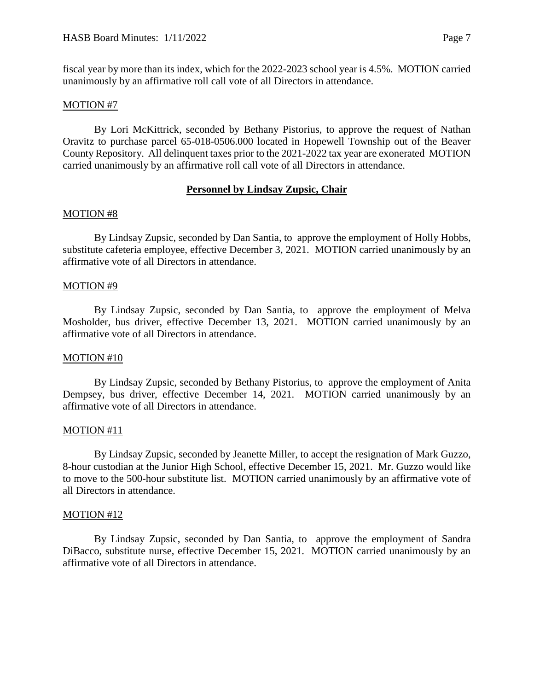fiscal year by more than its index, which for the 2022-2023 school year is 4.5%. MOTION carried unanimously by an affirmative roll call vote of all Directors in attendance.

### MOTION #7

By Lori McKittrick, seconded by Bethany Pistorius, to approve the request of Nathan Oravitz to purchase parcel 65-018-0506.000 located in Hopewell Township out of the Beaver County Repository. All delinquent taxes prior to the 2021-2022 tax year are exonerated MOTION carried unanimously by an affirmative roll call vote of all Directors in attendance.

### **Personnel by Lindsay Zupsic, Chair**

### MOTION #8

By Lindsay Zupsic, seconded by Dan Santia, to approve the employment of Holly Hobbs, substitute cafeteria employee, effective December 3, 2021. MOTION carried unanimously by an affirmative vote of all Directors in attendance.

### MOTION #9

By Lindsay Zupsic, seconded by Dan Santia, to approve the employment of Melva Mosholder, bus driver, effective December 13, 2021. MOTION carried unanimously by an affirmative vote of all Directors in attendance.

### MOTION #10

By Lindsay Zupsic, seconded by Bethany Pistorius, to approve the employment of Anita Dempsey, bus driver, effective December 14, 2021. MOTION carried unanimously by an affirmative vote of all Directors in attendance.

### MOTION #11

By Lindsay Zupsic, seconded by Jeanette Miller, to accept the resignation of Mark Guzzo, 8-hour custodian at the Junior High School, effective December 15, 2021. Mr. Guzzo would like to move to the 500-hour substitute list. MOTION carried unanimously by an affirmative vote of all Directors in attendance.

### MOTION #12

By Lindsay Zupsic, seconded by Dan Santia, to approve the employment of Sandra DiBacco, substitute nurse, effective December 15, 2021. MOTION carried unanimously by an affirmative vote of all Directors in attendance.